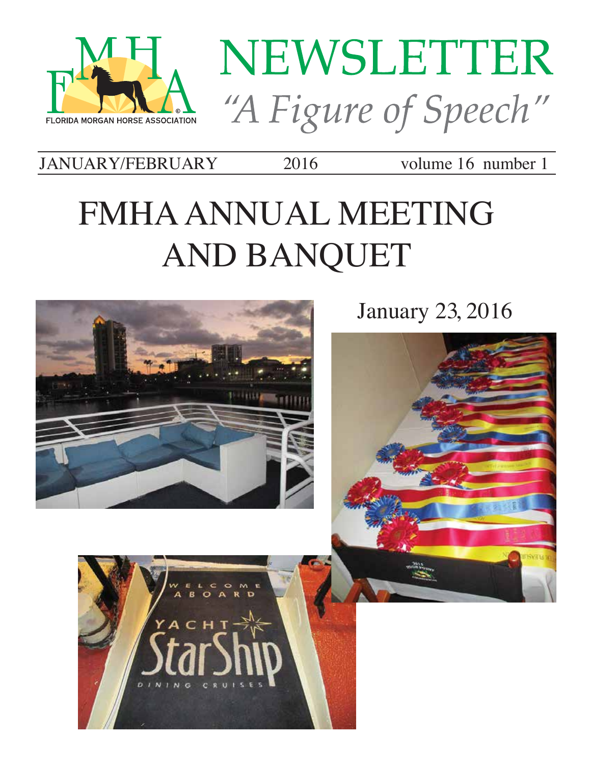



JANUARY/FEBRUARY 2016 volume 16 number 1 JANUARY/FEBRUARY 2016 volume 16 number 1

# FMHA ANNUAL MEETING AND BANQUET FMHA ANNUAL MEETING AND BANQUET



anuary 25, 2010  $\,$ January 23, 2016

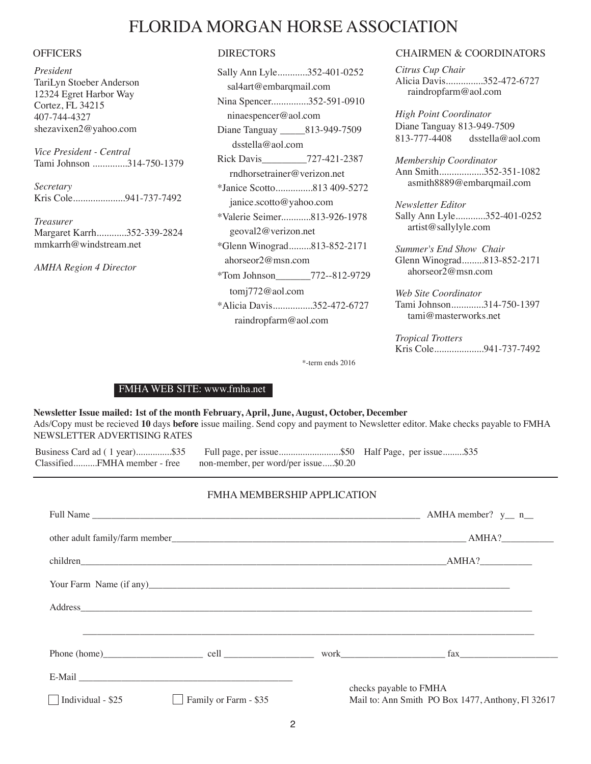## FLORIDA MORGAN HORSE ASSOCIATION

*President* TariLyn Stoeber Anderson 12324 Egret Harbor Way Cortez, FL 34215 407-744-4327 shezavixen2@yahoo.com

*Vice President - Central* Tami Johnson ..............314-750-1379

*Secretary* Kris Cole.....................941-737-7492

*Treasurer* Margaret Karrh............352-339-2824 mmkarrh@windstream.net

*AMHA Region 4 Director*

| Sally Ann Lyle352-401-0252         |
|------------------------------------|
| sal4art@embarqmail.com             |
| Nina Spencer352-591-0910           |
| ninaespencer@aol.com               |
| Diane Tanguay ________813-949-7509 |
| $ds$ stella@aol.com                |
| Rick Davis__________727-421-2387   |
| rndhorsetrainer@verizon.net        |
| *Janice Scotto813 409-5272         |
| janice.scotto@yahoo.com            |
| *Valerie Seimer813-926-1978        |
| geoval2@verizon.net                |
| *Glenn Winograd813-852-2171        |
| ahorseor2@msn.com                  |
| *Tom Johnson 772--812-9729         |
| $tomi772@$ aol.com                 |
| *Alicia Davis352-472-6727          |
| raindropfarm@aol.com               |

#### OFFICERS DIRECTORS CHAIRMEN & COORDINATORS

*Citrus Cup Chair* Alicia Davis...............352-472-6727 raindropfarm@aol.com

*High Point Coordinator* Diane Tanguay 813-949-7509 813-777-4408 dsstella@aol.com

*Membership Coordinator* Ann Smith..................352-351-1082 asmith8889@embarqmail.com

*Newsletter Editor* Sally Ann Lyle............352-401-0252 artist@sallylyle.com

*Summer's End Show Chair* Glenn Winograd.........813-852-2171 ahorseor2@msn.com

*Web Site Coordinator* Tami Johnson.............314-750-1397 tami@masterworks.net

*Tropical Trotters* Kris Cole....................941-737-7492

\*-term ends 2016

#### FMHA WEB SITE: www.fmha.net

**Newsletter Issue mailed: 1st of the month February, April, June, August, October, December** Ads/Copy must be recieved **10** days **before** issue mailing. Send copy and payment to Newsletter editor. Make checks payable to FMHA NEWSLETTER ADVERTISING RATES

Business Card ad ( 1 year)...............\$35 Full page, per issue..........................\$50 Half Page, per issue.........\$35 non-member, per word/per issue.....\$0.20

#### FMHA MEMBERSHIP APPLICATION

|                    |                       |                                                   | Phone (home) cell work as a fax |  |
|--------------------|-----------------------|---------------------------------------------------|---------------------------------|--|
|                    |                       |                                                   | checks payable to FMHA          |  |
| Individual - $$25$ | Family or Farm - \$35 | Mail to: Ann Smith PO Box 1477, Anthony, Fl 32617 |                                 |  |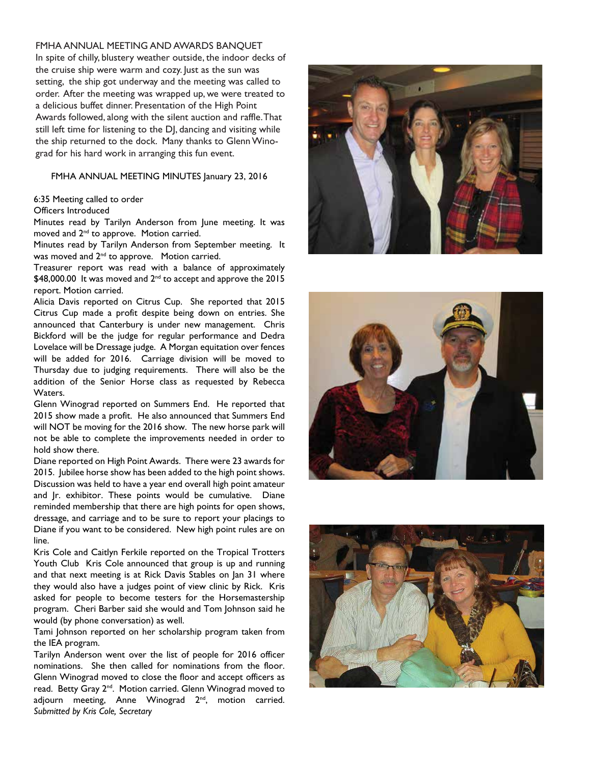#### FMHA ANNUAL MEETING AND AWARDS BANQUET

In spite of chilly, blustery weather outside, the indoor decks of the cruise ship were warm and cozy. Just as the sun was setting, the ship got underway and the meeting was called to order. After the meeting was wrapped up, we were treated to a delicious buffet dinner. Presentation of the High Point Awards followed, along with the silent auction and raffle. That still left time for listening to the DJ, dancing and visiting while the ship returned to the dock. Many thanks to Glenn Winograd for his hard work in arranging this fun event.

#### FMHA ANNUAL MEETING MINUTES January 23, 2016

#### 6:35 Meeting called to order

#### Officers Introduced

Minutes read by Tarilyn Anderson from June meeting. It was moved and 2<sup>nd</sup> to approve. Motion carried.

Minutes read by Tarilyn Anderson from September meeting. It was moved and 2<sup>nd</sup> to approve. Motion carried.

Treasurer report was read with a balance of approximately  $$48,000.00$  It was moved and  $2^{nd}$  to accept and approve the 2015 report. Motion carried.

Alicia Davis reported on Citrus Cup. She reported that 2015 Citrus Cup made a profit despite being down on entries. She announced that Canterbury is under new management. Chris Bickford will be the judge for regular performance and Dedra Lovelace will be Dressage judge. A Morgan equitation over fences will be added for 2016. Carriage division will be moved to Thursday due to judging requirements. There will also be the addition of the Senior Horse class as requested by Rebecca Waters.

Glenn Winograd reported on Summers End. He reported that 2015 show made a profit. He also announced that Summers End will NOT be moving for the 2016 show. The new horse park will not be able to complete the improvements needed in order to hold show there.

Diane reported on High Point Awards. There were 23 awards for 2015. Jubilee horse show has been added to the high point shows. Discussion was held to have a year end overall high point amateur and Jr. exhibitor. These points would be cumulative. Diane reminded membership that there are high points for open shows, dressage, and carriage and to be sure to report your placings to Diane if you want to be considered. New high point rules are on line.

Kris Cole and Caitlyn Ferkile reported on the Tropical Trotters Youth Club Kris Cole announced that group is up and running and that next meeting is at Rick Davis Stables on Jan 31 where they would also have a judges point of view clinic by Rick. Kris asked for people to become testers for the Horsemastership program. Cheri Barber said she would and Tom Johnson said he would (by phone conversation) as well.

Tami Johnson reported on her scholarship program taken from the IEA program.

Tarilyn Anderson went over the list of people for 2016 officer nominations. She then called for nominations from the floor. Glenn Winograd moved to close the floor and accept officers as read. Betty Gray 2<sup>nd</sup>. Motion carried. Glenn Winograd moved to adjourn meeting, Anne Winograd 2<sup>nd</sup>, motion carried. *Submitted by Kris Cole, Secretary*





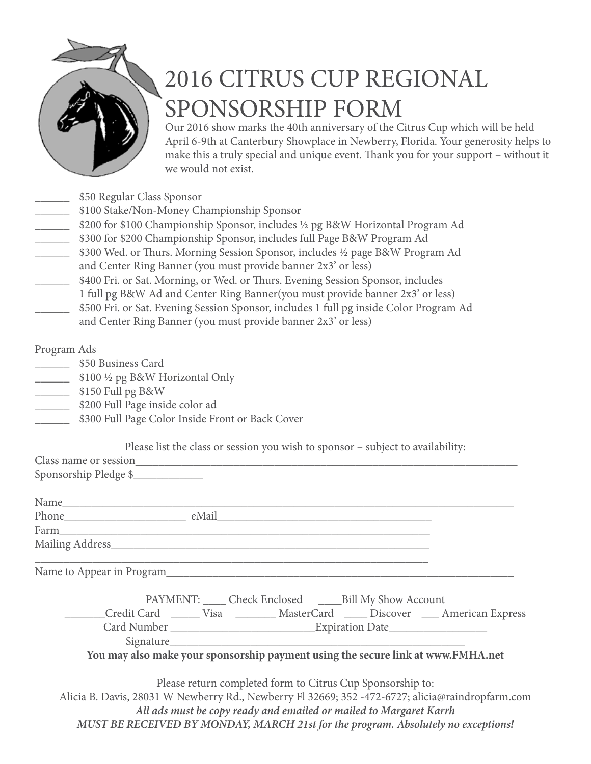

# 2016 CITRUS CUP REGIONAL SPONSORSHIP FORM

Our 2016 show marks the 40th anniversary of the Citrus Cup which will be held April 6-9th at Canterbury Showplace in Newberry, Florida. Your generosity helps to make this a truly special and unique event. Thank you for your support – without it we would not exist.

- \_\_\_\_\_\_ \$50 Regular Class Sponsor
- \_\_\_\_\_\_ \$100 Stake/Non-Money Championship Sponsor
- \_\_\_\_\_\_ \$200 for \$100 Championship Sponsor, includes ½ pg B&W Horizontal Program Ad
- \_\_\_\_\_\_ \$300 for \$200 Championship Sponsor, includes full Page B&W Program Ad
- \_\_\_\_\_\_ \$300 Wed. or Thurs. Morning Session Sponsor, includes ½ page B&W Program Ad
- and Center Ring Banner (you must provide banner 2x3' or less)
- \_\_\_\_\_\_ \$400 Fri. or Sat. Morning, or Wed. or Thurs. Evening Session Sponsor, includes
- \_\_\_\_\_\_ 1 full pg B&W Ad and Center Ring Banner(you must provide banner 2x3' or less)
- \_\_\_\_\_\_ \$500 Fri. or Sat. Evening Session Sponsor, includes 1 full pg inside Color Program Ad and Center Ring Banner (you must provide banner 2x3' or less)

## Program Ads

- \$50 Business Card
- \_\_\_\_\_\_ \$100 ½ pg B&W Horizontal Only
- \_\_\_\_\_\_ \$150 Full pg B&W
- \_\_\_\_\_\_ \$200 Full Page inside color ad
- \_\_\_\_\_\_ \$300 Full Page Color Inside Front or Back Cover

Please list the class or session you wish to sponsor – subject to availability:

| Sponsorship Pledge \$                                                                            |  |                                                                    |                                                                                       |  |
|--------------------------------------------------------------------------------------------------|--|--------------------------------------------------------------------|---------------------------------------------------------------------------------------|--|
|                                                                                                  |  |                                                                    |                                                                                       |  |
|                                                                                                  |  |                                                                    |                                                                                       |  |
|                                                                                                  |  |                                                                    |                                                                                       |  |
|                                                                                                  |  |                                                                    |                                                                                       |  |
|                                                                                                  |  |                                                                    |                                                                                       |  |
|                                                                                                  |  | PAYMENT: _____ Check Enclosed ______ Bill My Show Account          |                                                                                       |  |
|                                                                                                  |  |                                                                    | Credit Card _______ Visa __________ MasterCard ______ Discover _____ American Express |  |
|                                                                                                  |  |                                                                    |                                                                                       |  |
|                                                                                                  |  |                                                                    |                                                                                       |  |
| You may also make your sponsorship payment using the secure link at www.FMHA.net                 |  |                                                                    |                                                                                       |  |
|                                                                                                  |  |                                                                    |                                                                                       |  |
|                                                                                                  |  | Please return completed form to Citrus Cup Sponsorship to:         |                                                                                       |  |
| Alicia B. Davis, 28031 W Newberry Rd., Newberry Fl 32669; 352 -472-6727; alicia@raindropfarm.com |  |                                                                    |                                                                                       |  |
|                                                                                                  |  | All ads must be copy ready and emailed or mailed to Margaret Karrh |                                                                                       |  |
|                                                                                                  |  |                                                                    |                                                                                       |  |

*MUST BE RECEIVED BY MONDAY, MARCH 21st for the program. Absolutely no exceptions!*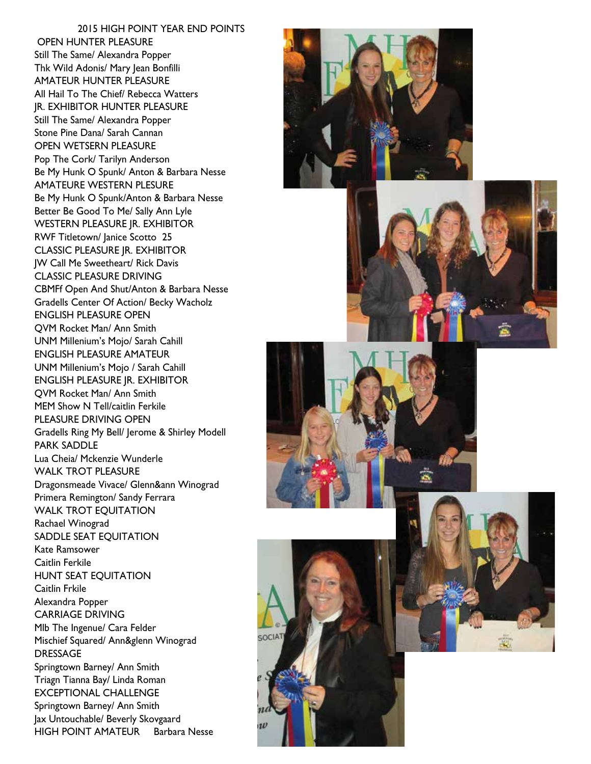2015 HIGH POINT YEAR END POINTS OPEN HUNTER PLEASURE Still The Same/ Alexandra Popper Thk Wild Adonis/ Mary Jean Bonfilli AMATEUR HUNTER PLEASURE All Hail To The Chief/ Rebecca Watters JR. EXHIBITOR HUNTER PLEASURE Still The Same/ Alexandra Popper Stone Pine Dana/ Sarah Cannan OPEN WETSERN PLEASURE Pop The Cork/ Tarilyn Anderson Be My Hunk O Spunk/ Anton & Barbara Nesse AMATEURE WESTERN PLESURE Be My Hunk O Spunk/Anton & Barbara Nesse Better Be Good To Me/ Sally Ann Lyle WESTERN PLEASURE JR. EXHIBITOR RWF Titletown/ Janice Scotto 25 CLASSIC PLEASURE JR. EXHIBITOR JW Call Me Sweetheart/ Rick Davis CLASSIC PLEASURE DRIVING CBMFf Open And Shut/Anton & Barbara Nesse Gradells Center Of Action/ Becky Wacholz ENGLISH PLEASURE OPEN QVM Rocket Man/ Ann Smith UNM Millenium's Mojo/ Sarah Cahill ENGLISH PLEASURE AMATEUR UNM Millenium's Mojo / Sarah Cahill ENGLISH PLEASURE JR. EXHIBITOR QVM Rocket Man/ Ann Smith MEM Show N Tell/caitlin Ferkile PLEASURE DRIVING OPEN Gradells Ring My Bell/ Jerome & Shirley Modell PARK SADDLE Lua Cheia/ Mckenzie Wunderle WALK TROT PLEASURE Dragonsmeade Vivace/ Glenn&ann Winograd Primera Remington/ Sandy Ferrara WALK TROT EQUITATION Rachael Winograd SADDLE SEAT EQUITATION Kate Ramsower Caitlin Ferkile HUNT SEAT EQUITATION Caitlin Frkile Alexandra Popper CARRIAGE DRIVING Mlb The Ingenue/ Cara Felder Mischief Squared/ Ann&glenn Winograd DRESSAGE Springtown Barney/ Ann Smith Triagn Tianna Bay/ Linda Roman EXCEPTIONAL CHALLENGE Springtown Barney/ Ann Smith Jax Untouchable/ Beverly Skovgaard HIGH POINT AMATEUR Barbara Nesse









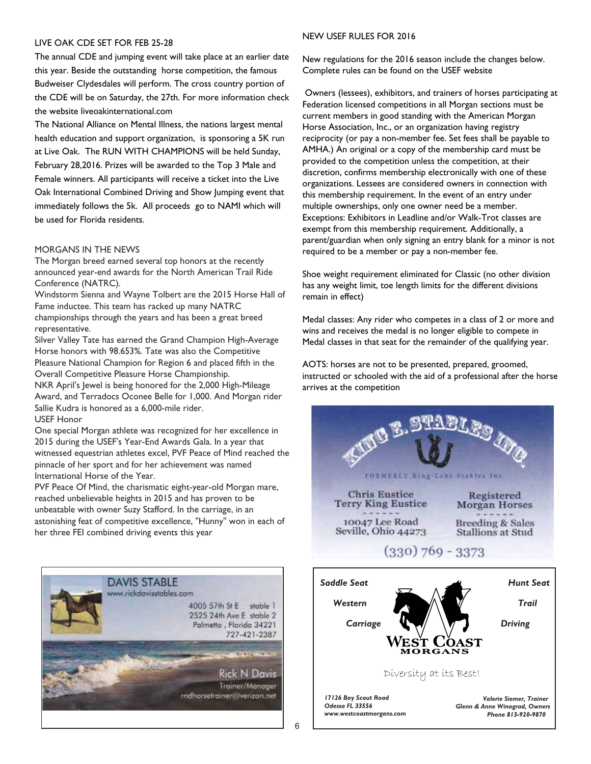#### LIVE OAK CDE SET FOR FEB 25-28

The annual CDE and jumping event will take place at an earlier date this year. Beside the outstanding horse competition, the famous Budweiser Clydesdales will perform. The cross country portion of the CDE will be on Saturday, the 27th. For more information check the website liveoakinternational.com

The National Alliance on Mental Illness, the nations largest mental health education and support organization, is sponsoring a 5K run at Live Oak. The RUN WITH CHAMPIONS will be held Sunday, February 28,2016. Prizes will be awarded to the Top 3 Male and Female winners. All participants will receive a ticket into the Live Oak International Combined Driving and Show Jumping event that immediately follows the 5k. All proceeds go to NAMI which will be used for Florida residents.

#### MORGANS IN THE NEWS

The Morgan breed earned several top honors at the recently announced year-end awards for the North American Trail Ride Conference (NATRC).

Windstorm Sienna and Wayne Tolbert are the 2015 Horse Hall of Fame inductee. This team has racked up many NATRC championships through the years and has been a great breed representative.

Silver Valley Tate has earned the Grand Champion High-Average Horse honors with 98.653%. Tate was also the Competitive Pleasure National Champion for Region 6 and placed fifth in the Overall Competitive Pleasure Horse Championship.

NKR April's Jewel is being honored for the 2,000 High-Mileage Award, and Terradocs Oconee Belle for 1,000. And Morgan rider Sallie Kudra is honored as a 6,000-mile rider. USEF Honor

One special Morgan athlete was recognized for her excellence in 2015 during the USEF's Year-End Awards Gala. In a year that witnessed equestrian athletes excel, PVF Peace of Mind reached the pinnacle of her sport and for her achievement was named International Horse of the Year.

PVF Peace Of Mind, the charismatic eight-year-old Morgan mare, reached unbelievable heights in 2015 and has proven to be unbeatable with owner Suzy Stafford. In the carriage, in an astonishing feat of competitive excellence, "Hunny" won in each of her three FEI combined driving events this year



#### NEW USEF RULES FOR 2016

New regulations for the 2016 season include the changes below. Complete rules can be found on the USEF website

 Owners (lessees), exhibitors, and trainers of horses participating at Federation licensed competitions in all Morgan sections must be current members in good standing with the American Morgan Horse Association, Inc., or an organization having registry reciprocity (or pay a non-member fee. Set fees shall be payable to AMHA.) An original or a copy of the membership card must be provided to the competition unless the competition, at their discretion, confirms membership electronically with one of these organizations. Lessees are considered owners in connection with this membership requirement. In the event of an entry under multiple ownerships, only one owner need be a member. Exceptions: Exhibitors in Leadline and/or Walk-Trot classes are exempt from this membership requirement. Additionally, a parent/guardian when only signing an entry blank for a minor is not required to be a member or pay a non-member fee.

Shoe weight requirement eliminated for Classic (no other division has any weight limit, toe length limits for the different divisions remain in effect)

Medal classes: Any rider who competes in a class of 2 or more and wins and receives the medal is no longer eligible to compete in Medal classes in that seat for the remainder of the qualifying year.

AOTS: horses are not to be presented, prepared, groomed, instructed or schooled with the aid of a professional after the horse arrives at the competition

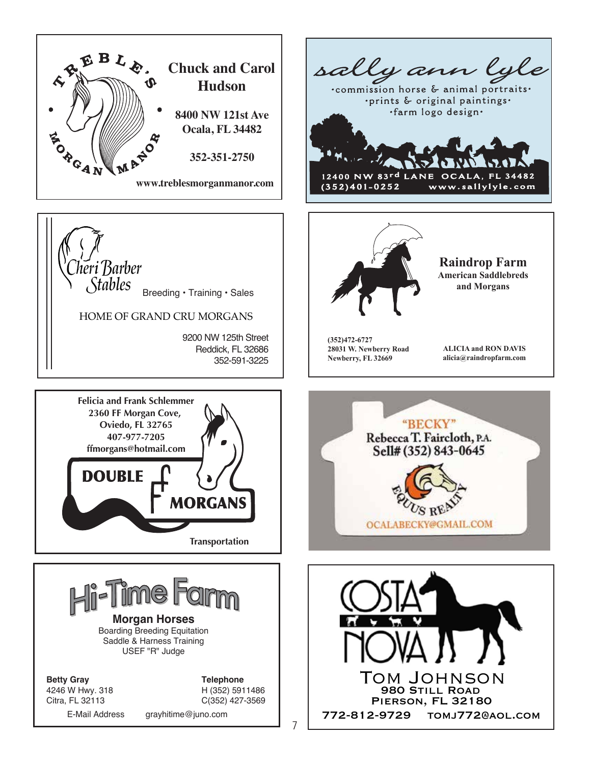